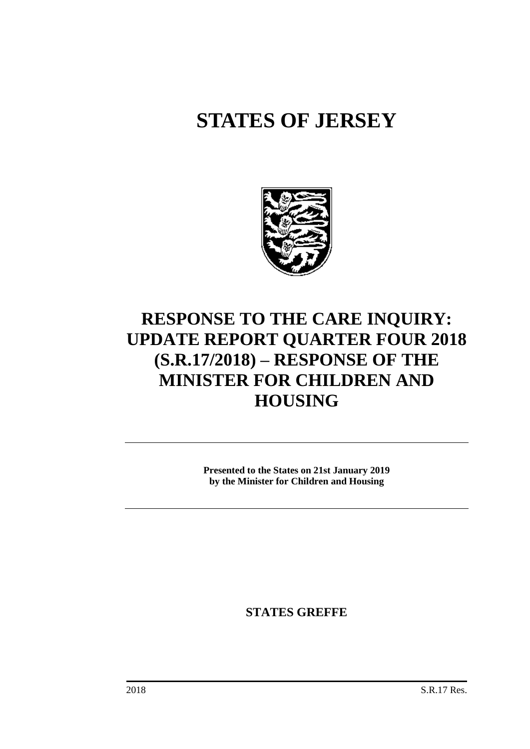# **STATES OF JERSEY**



## **RESPONSE TO THE CARE INQUIRY: UPDATE REPORT QUARTER FOUR 2018 (S.R.17/2018) – RESPONSE OF THE MINISTER FOR CHILDREN AND HOUSING**

**Presented to the States on 21st January 2019 by the Minister for Children and Housing**

**STATES GREFFE**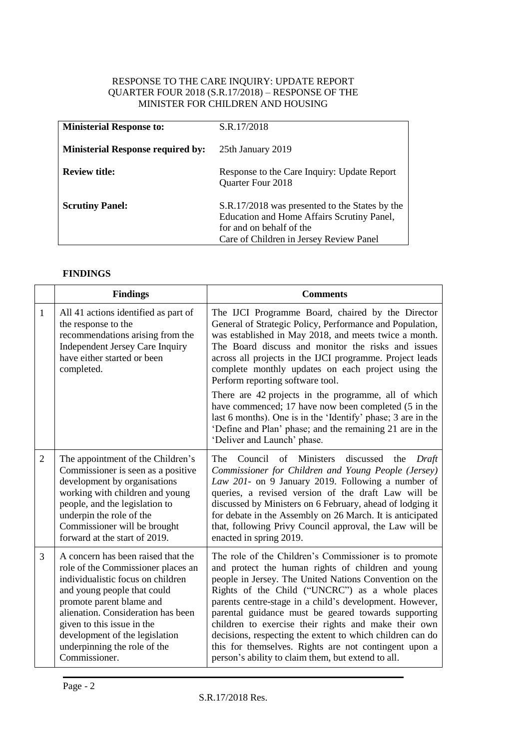#### RESPONSE TO THE CARE INQUIRY: UPDATE REPORT QUARTER FOUR 2018 (S.R.17/2018) – RESPONSE OF THE MINISTER FOR CHILDREN AND HOUSING

| <b>Ministerial Response to:</b>          | S.R.17/2018                                                                                                                                                         |
|------------------------------------------|---------------------------------------------------------------------------------------------------------------------------------------------------------------------|
| <b>Ministerial Response required by:</b> | 25th January 2019                                                                                                                                                   |
| <b>Review title:</b>                     | Response to the Care Inquiry: Update Report<br><b>Quarter Four 2018</b>                                                                                             |
| <b>Scrutiny Panel:</b>                   | S.R.17/2018 was presented to the States by the<br>Education and Home Affairs Scrutiny Panel,<br>for and on behalf of the<br>Care of Children in Jersey Review Panel |

### **FINDINGS**

|                | <b>Findings</b>                                                                                                                                                                                                                                                                                                                 | <b>Comments</b>                                                                                                                                                                                                                                                                                                                                                                                                                                                                                                                                                                |
|----------------|---------------------------------------------------------------------------------------------------------------------------------------------------------------------------------------------------------------------------------------------------------------------------------------------------------------------------------|--------------------------------------------------------------------------------------------------------------------------------------------------------------------------------------------------------------------------------------------------------------------------------------------------------------------------------------------------------------------------------------------------------------------------------------------------------------------------------------------------------------------------------------------------------------------------------|
| 1              | All 41 actions identified as part of<br>the response to the<br>recommendations arising from the<br><b>Independent Jersey Care Inquiry</b><br>have either started or been<br>completed.                                                                                                                                          | The IJCI Programme Board, chaired by the Director<br>General of Strategic Policy, Performance and Population,<br>was established in May 2018, and meets twice a month.<br>The Board discuss and monitor the risks and issues<br>across all projects in the IJCI programme. Project leads<br>complete monthly updates on each project using the<br>Perform reporting software tool.                                                                                                                                                                                             |
|                |                                                                                                                                                                                                                                                                                                                                 | There are 42 projects in the programme, all of which<br>have commenced; 17 have now been completed (5 in the<br>last 6 months). One is in the 'Identify' phase; 3 are in the<br>'Define and Plan' phase; and the remaining 21 are in the<br>'Deliver and Launch' phase.                                                                                                                                                                                                                                                                                                        |
| $\overline{2}$ | The appointment of the Children's<br>Commissioner is seen as a positive<br>development by organisations<br>working with children and young<br>people, and the legislation to<br>underpin the role of the<br>Commissioner will be brought<br>forward at the start of 2019.                                                       | The<br>Council of Ministers<br>discussed<br>the<br>Draft<br>Commissioner for Children and Young People (Jersey)<br>Law 201- on 9 January 2019. Following a number of<br>queries, a revised version of the draft Law will be<br>discussed by Ministers on 6 February, ahead of lodging it<br>for debate in the Assembly on 26 March. It is anticipated<br>that, following Privy Council approval, the Law will be<br>enacted in spring 2019.                                                                                                                                    |
| 3              | A concern has been raised that the<br>role of the Commissioner places an<br>individualistic focus on children<br>and young people that could<br>promote parent blame and<br>alienation. Consideration has been<br>given to this issue in the<br>development of the legislation<br>underpinning the role of the<br>Commissioner. | The role of the Children's Commissioner is to promote<br>and protect the human rights of children and young<br>people in Jersey. The United Nations Convention on the<br>Rights of the Child ("UNCRC") as a whole places<br>parents centre-stage in a child's development. However,<br>parental guidance must be geared towards supporting<br>children to exercise their rights and make their own<br>decisions, respecting the extent to which children can do<br>this for themselves. Rights are not contingent upon a<br>person's ability to claim them, but extend to all. |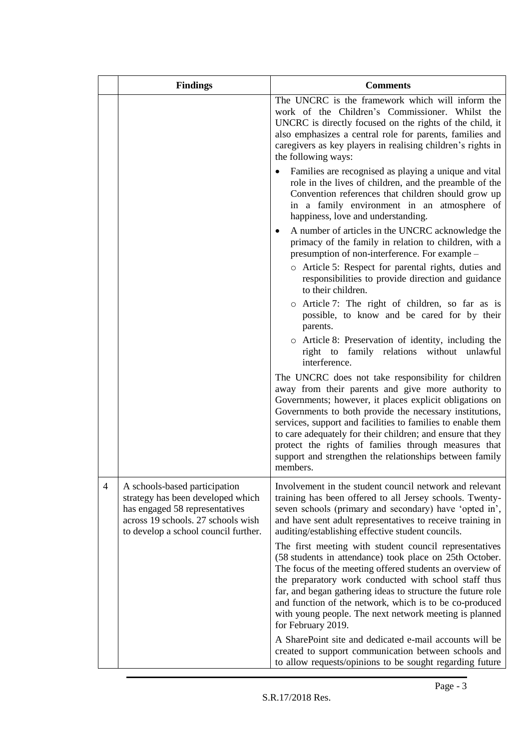|                | <b>Findings</b>                                                                                                                                                                    | <b>Comments</b>                                                                                                                                                                                                                                                                                                                                                                                                                                                                              |
|----------------|------------------------------------------------------------------------------------------------------------------------------------------------------------------------------------|----------------------------------------------------------------------------------------------------------------------------------------------------------------------------------------------------------------------------------------------------------------------------------------------------------------------------------------------------------------------------------------------------------------------------------------------------------------------------------------------|
|                |                                                                                                                                                                                    | The UNCRC is the framework which will inform the<br>work of the Children's Commissioner. Whilst the<br>UNCRC is directly focused on the rights of the child, it<br>also emphasizes a central role for parents, families and<br>caregivers as key players in realising children's rights in<br>the following ways:                                                                                                                                                                            |
|                |                                                                                                                                                                                    | Families are recognised as playing a unique and vital<br>role in the lives of children, and the preamble of the<br>Convention references that children should grow up<br>in a family environment in an atmosphere of<br>happiness, love and understanding.                                                                                                                                                                                                                                   |
|                |                                                                                                                                                                                    | A number of articles in the UNCRC acknowledge the<br>٠<br>primacy of the family in relation to children, with a<br>presumption of non-interference. For example –                                                                                                                                                                                                                                                                                                                            |
|                |                                                                                                                                                                                    | o Article 5: Respect for parental rights, duties and<br>responsibilities to provide direction and guidance<br>to their children.                                                                                                                                                                                                                                                                                                                                                             |
|                |                                                                                                                                                                                    | o Article 7: The right of children, so far as is<br>possible, to know and be cared for by their<br>parents.                                                                                                                                                                                                                                                                                                                                                                                  |
|                |                                                                                                                                                                                    | o Article 8: Preservation of identity, including the<br>right to family relations without<br>unlawful<br>interference.                                                                                                                                                                                                                                                                                                                                                                       |
|                |                                                                                                                                                                                    | The UNCRC does not take responsibility for children<br>away from their parents and give more authority to<br>Governments; however, it places explicit obligations on<br>Governments to both provide the necessary institutions,<br>services, support and facilities to families to enable them<br>to care adequately for their children; and ensure that they<br>protect the rights of families through measures that<br>support and strengthen the relationships between family<br>members. |
| $\overline{4}$ | A schools-based participation<br>strategy has been developed which<br>has engaged 58 representatives<br>across 19 schools. 27 schools wish<br>to develop a school council further. | Involvement in the student council network and relevant<br>training has been offered to all Jersey schools. Twenty-<br>seven schools (primary and secondary) have 'opted in',<br>and have sent adult representatives to receive training in<br>auditing/establishing effective student councils.                                                                                                                                                                                             |
|                |                                                                                                                                                                                    | The first meeting with student council representatives<br>(58 students in attendance) took place on 25th October.<br>The focus of the meeting offered students an overview of                                                                                                                                                                                                                                                                                                                |
|                |                                                                                                                                                                                    | the preparatory work conducted with school staff thus<br>far, and began gathering ideas to structure the future role<br>and function of the network, which is to be co-produced<br>with young people. The next network meeting is planned<br>for February 2019.                                                                                                                                                                                                                              |
|                |                                                                                                                                                                                    | A SharePoint site and dedicated e-mail accounts will be<br>created to support communication between schools and<br>to allow requests/opinions to be sought regarding future                                                                                                                                                                                                                                                                                                                  |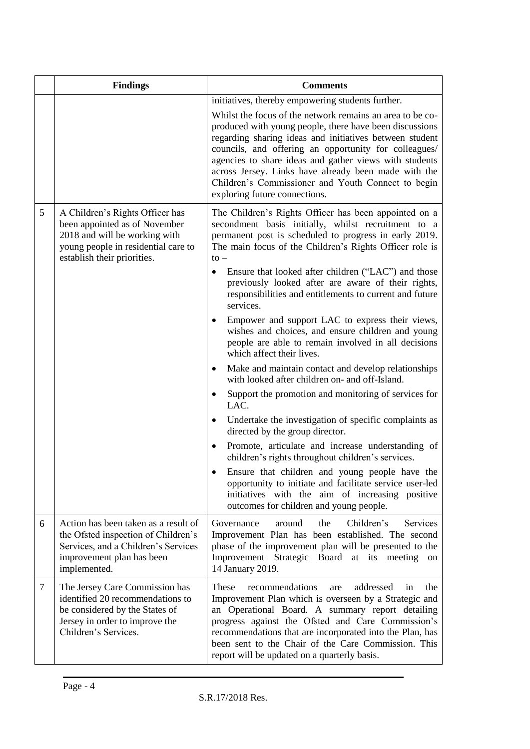|   | <b>Findings</b>                                                                                                                                                         | <b>Comments</b>                                                                                                                                                                                                                                                                                                                                                                                                                                                                                                                                                                                                                                                                                                                                                                                                                                                                                                                                                                                                                                                                                                                                                                                                                     |  |
|---|-------------------------------------------------------------------------------------------------------------------------------------------------------------------------|-------------------------------------------------------------------------------------------------------------------------------------------------------------------------------------------------------------------------------------------------------------------------------------------------------------------------------------------------------------------------------------------------------------------------------------------------------------------------------------------------------------------------------------------------------------------------------------------------------------------------------------------------------------------------------------------------------------------------------------------------------------------------------------------------------------------------------------------------------------------------------------------------------------------------------------------------------------------------------------------------------------------------------------------------------------------------------------------------------------------------------------------------------------------------------------------------------------------------------------|--|
|   |                                                                                                                                                                         | initiatives, thereby empowering students further.<br>Whilst the focus of the network remains an area to be co-<br>produced with young people, there have been discussions<br>regarding sharing ideas and initiatives between student<br>councils, and offering an opportunity for colleagues/<br>agencies to share ideas and gather views with students<br>across Jersey. Links have already been made with the<br>Children's Commissioner and Youth Connect to begin<br>exploring future connections.                                                                                                                                                                                                                                                                                                                                                                                                                                                                                                                                                                                                                                                                                                                              |  |
| 5 | A Children's Rights Officer has<br>been appointed as of November<br>2018 and will be working with<br>young people in residential care to<br>establish their priorities. | The Children's Rights Officer has been appointed on a<br>secondment basis initially, whilst recruitment to a<br>permanent post is scheduled to progress in early 2019.<br>The main focus of the Children's Rights Officer role is<br>$to -$<br>Ensure that looked after children ("LAC") and those<br>previously looked after are aware of their rights,<br>responsibilities and entitlements to current and future<br>services.<br>Empower and support LAC to express their views,<br>wishes and choices, and ensure children and young<br>people are able to remain involved in all decisions<br>which affect their lives.<br>Make and maintain contact and develop relationships<br>with looked after children on- and off-Island.<br>Support the promotion and monitoring of services for<br>LAC.<br>Undertake the investigation of specific complaints as<br>directed by the group director.<br>Promote, articulate and increase understanding of<br>$\bullet$<br>children's rights throughout children's services.<br>Ensure that children and young people have the<br>opportunity to initiate and facilitate service user-led<br>initiatives with the aim of increasing positive<br>outcomes for children and young people. |  |
| 6 | Action has been taken as a result of<br>the Ofsted inspection of Children's<br>Services, and a Children's Services<br>improvement plan has been<br>implemented.         | Services<br>Governance<br>Children's<br>around<br>the<br>Improvement Plan has been established. The second<br>phase of the improvement plan will be presented to the<br>Improvement Strategic Board at its meeting<br>on<br>14 January 2019.                                                                                                                                                                                                                                                                                                                                                                                                                                                                                                                                                                                                                                                                                                                                                                                                                                                                                                                                                                                        |  |
| 7 | The Jersey Care Commission has<br>identified 20 recommendations to<br>be considered by the States of<br>Jersey in order to improve the<br>Children's Services.          | These<br>recommendations<br>addressed<br>the<br>are<br>in<br>Improvement Plan which is overseen by a Strategic and<br>an Operational Board. A summary report detailing<br>progress against the Ofsted and Care Commission's<br>recommendations that are incorporated into the Plan, has<br>been sent to the Chair of the Care Commission. This<br>report will be updated on a quarterly basis.                                                                                                                                                                                                                                                                                                                                                                                                                                                                                                                                                                                                                                                                                                                                                                                                                                      |  |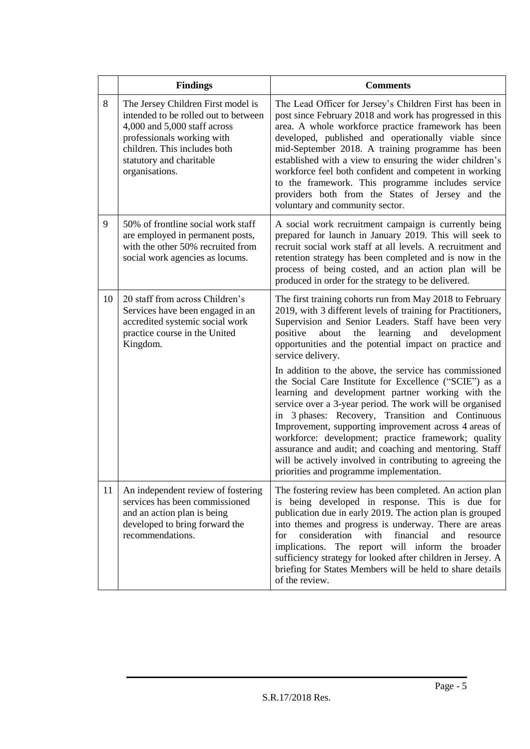|    | <b>Findings</b>                                                                                                                                                                                                        | <b>Comments</b>                                                                                                                                                                                                                                                                                                                                                                                                                                                                                                                                                                                                                                                                                                                                                                                                                                                                                           |
|----|------------------------------------------------------------------------------------------------------------------------------------------------------------------------------------------------------------------------|-----------------------------------------------------------------------------------------------------------------------------------------------------------------------------------------------------------------------------------------------------------------------------------------------------------------------------------------------------------------------------------------------------------------------------------------------------------------------------------------------------------------------------------------------------------------------------------------------------------------------------------------------------------------------------------------------------------------------------------------------------------------------------------------------------------------------------------------------------------------------------------------------------------|
| 8  | The Jersey Children First model is<br>intended to be rolled out to between<br>4,000 and 5,000 staff across<br>professionals working with<br>children. This includes both<br>statutory and charitable<br>organisations. | The Lead Officer for Jersey's Children First has been in<br>post since February 2018 and work has progressed in this<br>area. A whole workforce practice framework has been<br>developed, published and operationally viable since<br>mid-September 2018. A training programme has been<br>established with a view to ensuring the wider children's<br>workforce feel both confident and competent in working<br>to the framework. This programme includes service<br>providers both from the States of Jersey and the<br>voluntary and community sector.                                                                                                                                                                                                                                                                                                                                                 |
| 9  | 50% of frontline social work staff<br>are employed in permanent posts,<br>with the other 50% recruited from<br>social work agencies as locums.                                                                         | A social work recruitment campaign is currently being<br>prepared for launch in January 2019. This will seek to<br>recruit social work staff at all levels. A recruitment and<br>retention strategy has been completed and is now in the<br>process of being costed, and an action plan will be<br>produced in order for the strategy to be delivered.                                                                                                                                                                                                                                                                                                                                                                                                                                                                                                                                                    |
| 10 | 20 staff from across Children's<br>Services have been engaged in an<br>accredited systemic social work<br>practice course in the United<br>Kingdom.                                                                    | The first training cohorts run from May 2018 to February<br>2019, with 3 different levels of training for Practitioners,<br>Supervision and Senior Leaders. Staff have been very<br>positive<br>learning<br>about<br>the<br>and<br>development<br>opportunities and the potential impact on practice and<br>service delivery.<br>In addition to the above, the service has commissioned<br>the Social Care Institute for Excellence ("SCIE") as a<br>learning and development partner working with the<br>service over a 3-year period. The work will be organised<br>in 3 phases: Recovery, Transition and Continuous<br>Improvement, supporting improvement across 4 areas of<br>workforce: development; practice framework; quality<br>assurance and audit; and coaching and mentoring. Staff<br>will be actively involved in contributing to agreeing the<br>priorities and programme implementation. |
| 11 | An independent review of fostering<br>services has been commissioned<br>and an action plan is being<br>developed to bring forward the<br>recommendations.                                                              | The fostering review has been completed. An action plan<br>is being developed in response. This is due for<br>publication due in early 2019. The action plan is grouped<br>into themes and progress is underway. There are areas<br>consideration<br>with<br>financial<br>and<br>for<br>resource<br>implications. The report will inform the broader<br>sufficiency strategy for looked after children in Jersey. A<br>briefing for States Members will be held to share details<br>of the review.                                                                                                                                                                                                                                                                                                                                                                                                        |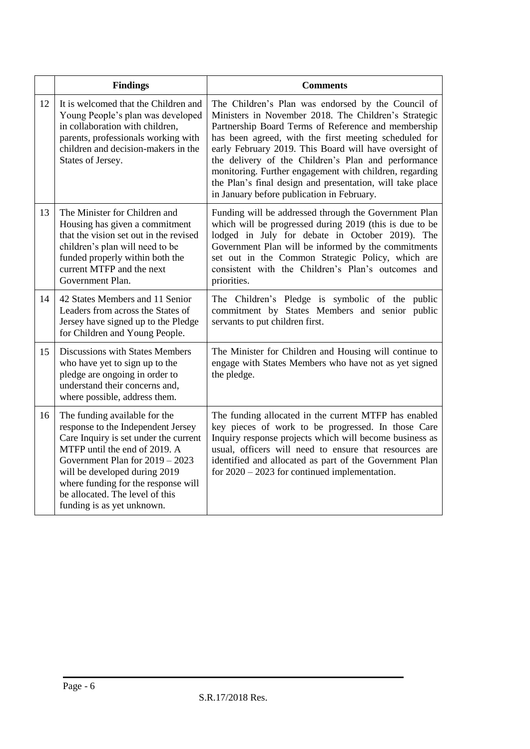|    | <b>Findings</b>                                                                                                                                                                                                                                                                                                             | <b>Comments</b>                                                                                                                                                                                                                                                                                                                                                                                                                                                                                                   |
|----|-----------------------------------------------------------------------------------------------------------------------------------------------------------------------------------------------------------------------------------------------------------------------------------------------------------------------------|-------------------------------------------------------------------------------------------------------------------------------------------------------------------------------------------------------------------------------------------------------------------------------------------------------------------------------------------------------------------------------------------------------------------------------------------------------------------------------------------------------------------|
| 12 | It is welcomed that the Children and<br>Young People's plan was developed<br>in collaboration with children,<br>parents, professionals working with<br>children and decision-makers in the<br>States of Jersey.                                                                                                             | The Children's Plan was endorsed by the Council of<br>Ministers in November 2018. The Children's Strategic<br>Partnership Board Terms of Reference and membership<br>has been agreed, with the first meeting scheduled for<br>early February 2019. This Board will have oversight of<br>the delivery of the Children's Plan and performance<br>monitoring. Further engagement with children, regarding<br>the Plan's final design and presentation, will take place<br>in January before publication in February. |
| 13 | The Minister for Children and<br>Housing has given a commitment<br>that the vision set out in the revised<br>children's plan will need to be<br>funded properly within both the<br>current MTFP and the next<br>Government Plan.                                                                                            | Funding will be addressed through the Government Plan<br>which will be progressed during 2019 (this is due to be<br>lodged in July for debate in October 2019). The<br>Government Plan will be informed by the commitments<br>set out in the Common Strategic Policy, which are<br>consistent with the Children's Plan's outcomes and<br>priorities.                                                                                                                                                              |
| 14 | 42 States Members and 11 Senior<br>Leaders from across the States of<br>Jersey have signed up to the Pledge<br>for Children and Young People.                                                                                                                                                                               | The Children's Pledge is symbolic of the public<br>commitment by States Members and senior public<br>servants to put children first.                                                                                                                                                                                                                                                                                                                                                                              |
| 15 | Discussions with States Members<br>who have yet to sign up to the<br>pledge are ongoing in order to<br>understand their concerns and,<br>where possible, address them.                                                                                                                                                      | The Minister for Children and Housing will continue to<br>engage with States Members who have not as yet signed<br>the pledge.                                                                                                                                                                                                                                                                                                                                                                                    |
| 16 | The funding available for the<br>response to the Independent Jersey<br>Care Inquiry is set under the current<br>MTFP until the end of 2019. A<br>Government Plan for $2019 - 2023$<br>will be developed during 2019<br>where funding for the response will<br>be allocated. The level of this<br>funding is as yet unknown. | The funding allocated in the current MTFP has enabled<br>key pieces of work to be progressed. In those Care<br>Inquiry response projects which will become business as<br>usual, officers will need to ensure that resources are<br>identified and allocated as part of the Government Plan<br>for $2020 - 2023$ for continued implementation.                                                                                                                                                                    |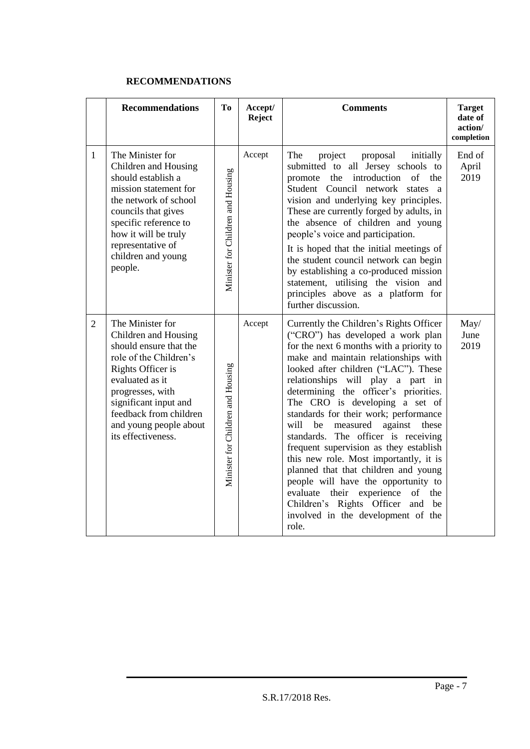#### **RECOMMENDATIONS**

|   | <b>Recommendations</b>                                                                                                                                                                                                                                      | Tо                                | Accept/<br>Reject | <b>Comments</b>                                                                                                                                                                                                                                                                                                                                                                                                                                                                                                                                                                                                                                                                                                                                              | <b>Target</b><br>date of<br>action/<br>completion |
|---|-------------------------------------------------------------------------------------------------------------------------------------------------------------------------------------------------------------------------------------------------------------|-----------------------------------|-------------------|--------------------------------------------------------------------------------------------------------------------------------------------------------------------------------------------------------------------------------------------------------------------------------------------------------------------------------------------------------------------------------------------------------------------------------------------------------------------------------------------------------------------------------------------------------------------------------------------------------------------------------------------------------------------------------------------------------------------------------------------------------------|---------------------------------------------------|
| 1 | The Minister for<br>Children and Housing<br>should establish a<br>mission statement for<br>the network of school<br>councils that gives<br>specific reference to<br>how it will be truly<br>representative of<br>children and young<br>people.              | Minister for Children and Housing | Accept            | The<br>project<br>proposal<br>initially<br>submitted to all Jersey schools to<br>the introduction of the<br>promote<br>Student Council network states a<br>vision and underlying key principles.<br>These are currently forged by adults, in<br>the absence of children and young<br>people's voice and participation.<br>It is hoped that the initial meetings of<br>the student council network can begin<br>by establishing a co-produced mission<br>statement, utilising the vision and<br>principles above as a platform for<br>further discussion.                                                                                                                                                                                                     | End of<br>April<br>2019                           |
| 2 | The Minister for<br>Children and Housing<br>should ensure that the<br>role of the Children's<br>Rights Officer is<br>evaluated as it<br>progresses, with<br>significant input and<br>feedback from children<br>and young people about<br>its effectiveness. | Minister for Children and Housing | Accept            | Currently the Children's Rights Officer<br>("CRO") has developed a work plan<br>for the next 6 months with a priority to<br>make and maintain relationships with<br>looked after children ("LAC"). These<br>relationships will play a part in<br>determining the officer's priorities.<br>The CRO is developing a set of<br>standards for their work; performance<br>against<br>will<br>measured<br>these<br>be<br>standards. The officer is receiving<br>frequent supervision as they establish<br>this new role. Most importantly, it is<br>planned that that children and young<br>people will have the opportunity to<br>evaluate their experience<br>of<br>the<br>Children's Rights Officer<br>and<br>be<br>involved in the development of the<br>role. | May/<br>June<br>2019                              |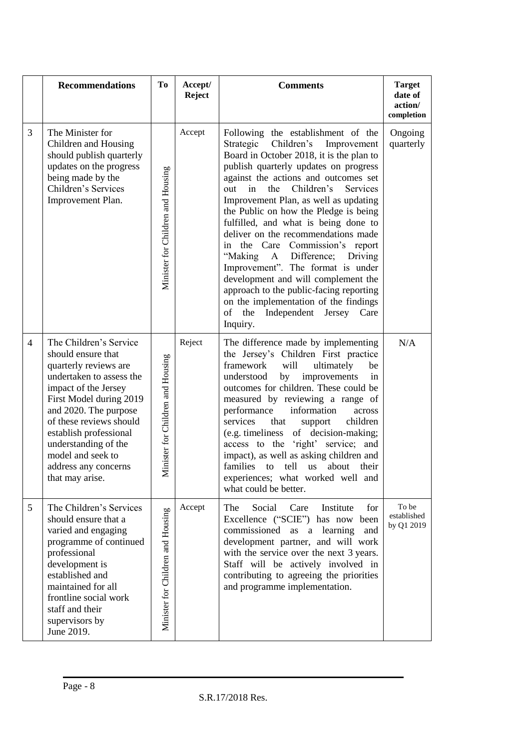|   | <b>Recommendations</b>                                                                                                                                                                                                                                                                                                     | To                                | Accept/<br><b>Reject</b> | <b>Comments</b>                                                                                                                                                                                                                                                                                                                                                                                                                                                                                                                                                                                                                                                                                                        | <b>Target</b><br>date of<br>action/<br>completion |
|---|----------------------------------------------------------------------------------------------------------------------------------------------------------------------------------------------------------------------------------------------------------------------------------------------------------------------------|-----------------------------------|--------------------------|------------------------------------------------------------------------------------------------------------------------------------------------------------------------------------------------------------------------------------------------------------------------------------------------------------------------------------------------------------------------------------------------------------------------------------------------------------------------------------------------------------------------------------------------------------------------------------------------------------------------------------------------------------------------------------------------------------------------|---------------------------------------------------|
| 3 | The Minister for<br>Children and Housing<br>should publish quarterly<br>updates on the progress<br>being made by the<br>Children's Services<br>Improvement Plan.                                                                                                                                                           | Minister for Children and Housing | Accept                   | Following the establishment of the<br>Strategic<br>Children's<br>Improvement<br>Board in October 2018, it is the plan to<br>publish quarterly updates on progress<br>against the actions and outcomes set<br>Children's<br>in<br>the<br>Services<br>out<br>Improvement Plan, as well as updating<br>the Public on how the Pledge is being<br>fulfilled, and what is being done to<br>deliver on the recommendations made<br>in the Care Commission's report<br>"Making<br>Difference;<br>Driving<br>A<br>Improvement". The format is under<br>development and will complement the<br>approach to the public-facing reporting<br>on the implementation of the findings<br>of<br>the Independent Jersey Care<br>Inquiry. | Ongoing<br>quarterly                              |
| 4 | The Children's Service<br>should ensure that<br>quarterly reviews are<br>undertaken to assess the<br>impact of the Jersey<br>First Model during 2019<br>and 2020. The purpose<br>of these reviews should<br>establish professional<br>understanding of the<br>model and seek to<br>address any concerns<br>that may arise. | Minister for Children and Housing | Reject                   | The difference made by implementing<br>the Jersey's Children First practice<br>framework<br>will<br>ultimately<br>be<br>improvements<br>understood<br>by<br>in<br>outcomes for children. These could be<br>measured by reviewing a range of<br>performance<br>information<br>across<br>services<br>that<br>support<br>children<br>(e.g. timeliness<br>of decision-making;<br>access to the 'right' service; and<br>impact), as well as asking children and<br>families<br>tell<br>about<br>to<br><b>us</b><br>their<br>experiences; what worked well and<br>what could be better.                                                                                                                                      | N/A                                               |
| 5 | The Children's Services<br>should ensure that a<br>varied and engaging<br>programme of continued<br>professional<br>development is<br>established and<br>maintained for all<br>frontline social work<br>staff and their<br>supervisors by<br>June 2019.                                                                    | Minister for Children and Housing | Accept                   | Social<br>Institute<br>The<br>Care<br>for<br>Excellence ("SCIE") has now been<br>commissioned as a<br>learning<br>and<br>development partner, and will work<br>with the service over the next 3 years.<br>Staff will be actively involved in<br>contributing to agreeing the priorities<br>and programme implementation.                                                                                                                                                                                                                                                                                                                                                                                               | To be<br>established<br>by Q1 2019                |